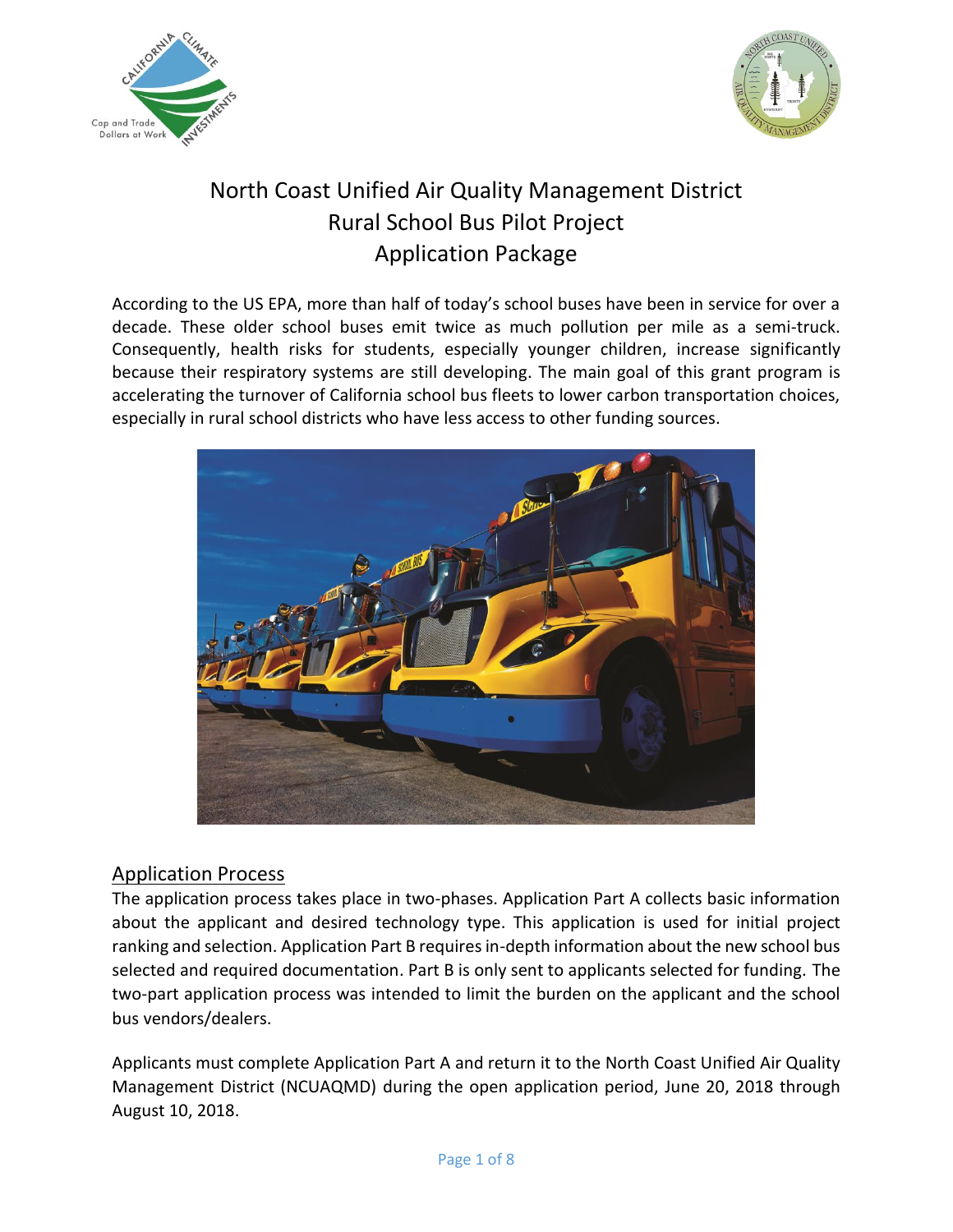



# North Coast Unified Air Quality Management District Rural School Bus Pilot Project Application Package

According to the US EPA, more than half of today's school buses have been in service for over a decade. These older school buses emit twice as much pollution per mile as a semi-truck. Consequently, health risks for students, especially younger children, increase significantly because their respiratory systems are still developing. The main goal of this grant program is accelerating the turnover of California school bus fleets to lower carbon transportation choices, especially in rural school districts who have less access to other funding sources.



# Application Process

The application process takes place in two-phases. Application Part A collects basic information about the applicant and desired technology type. This application is used for initial project ranking and selection. Application Part B requires in-depth information about the new school bus selected and required documentation. Part B is only sent to applicants selected for funding. The two-part application process was intended to limit the burden on the applicant and the school bus vendors/dealers.

Applicants must complete Application Part A and return it to the North Coast Unified Air Quality Management District (NCUAQMD) during the open application period, June 20, 2018 through August 10, 2018.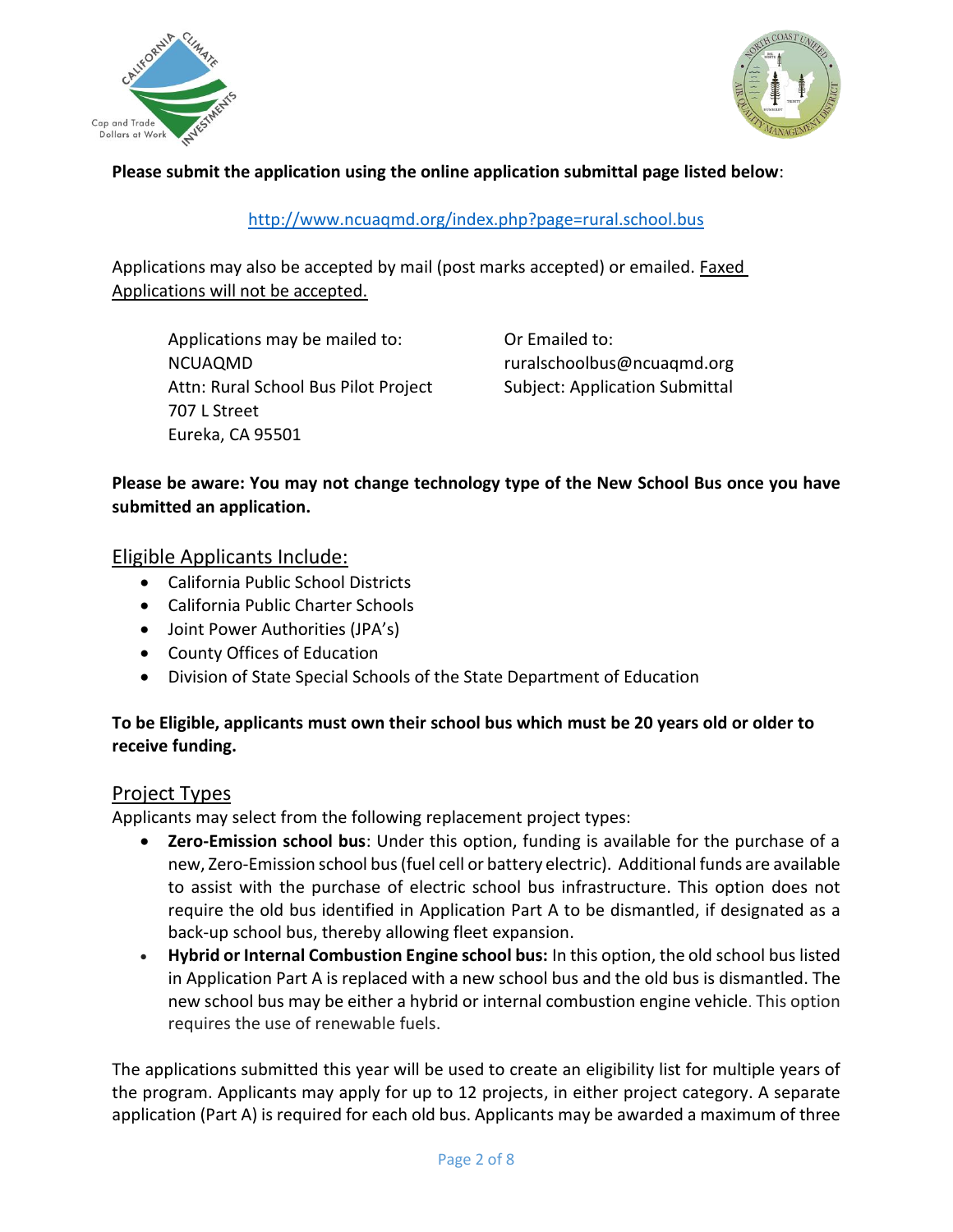



### **Please submit the application using the online application submittal page listed below**:

#### <http://www.ncuaqmd.org/index.php?page=rural.school.bus>

Applications may also be accepted by mail (post marks accepted) or emailed. Faxed Applications will not be accepted.

Applications may be mailed to: **Or Emailed to:** NCUAQMD ruralschoolbus@ncuaqmd.org Attn: Rural School Bus Pilot Project Subject: Application Submittal 707 L Street Eureka, CA 95501

### **Please be aware: You may not change technology type of the New School Bus once you have submitted an application.**

### Eligible Applicants Include:

- California Public School Districts
- California Public Charter Schools
- Joint Power Authorities (JPA's)
- County Offices of Education
- Division of State Special Schools of the State Department of Education

### **To be Eligible, applicants must own their school bus which must be 20 years old or older to receive funding.**

#### Project Types

Applicants may select from the following replacement project types:

- **Zero-Emission school bus**: Under this option, funding is available for the purchase of a new, Zero-Emission school bus (fuel cell or battery electric). Additional funds are available to assist with the purchase of electric school bus infrastructure. This option does not require the old bus identified in Application Part A to be dismantled, if designated as a back-up school bus, thereby allowing fleet expansion.
- **Hybrid or Internal Combustion Engine school bus:** In this option, the old school bus listed in Application Part A is replaced with a new school bus and the old bus is dismantled. The new school bus may be either a hybrid or internal combustion engine vehicle. This option requires the use of renewable fuels.

The applications submitted this year will be used to create an eligibility list for multiple years of the program. Applicants may apply for up to 12 projects, in either project category. A separate application (Part A) is required for each old bus. Applicants may be awarded a maximum of three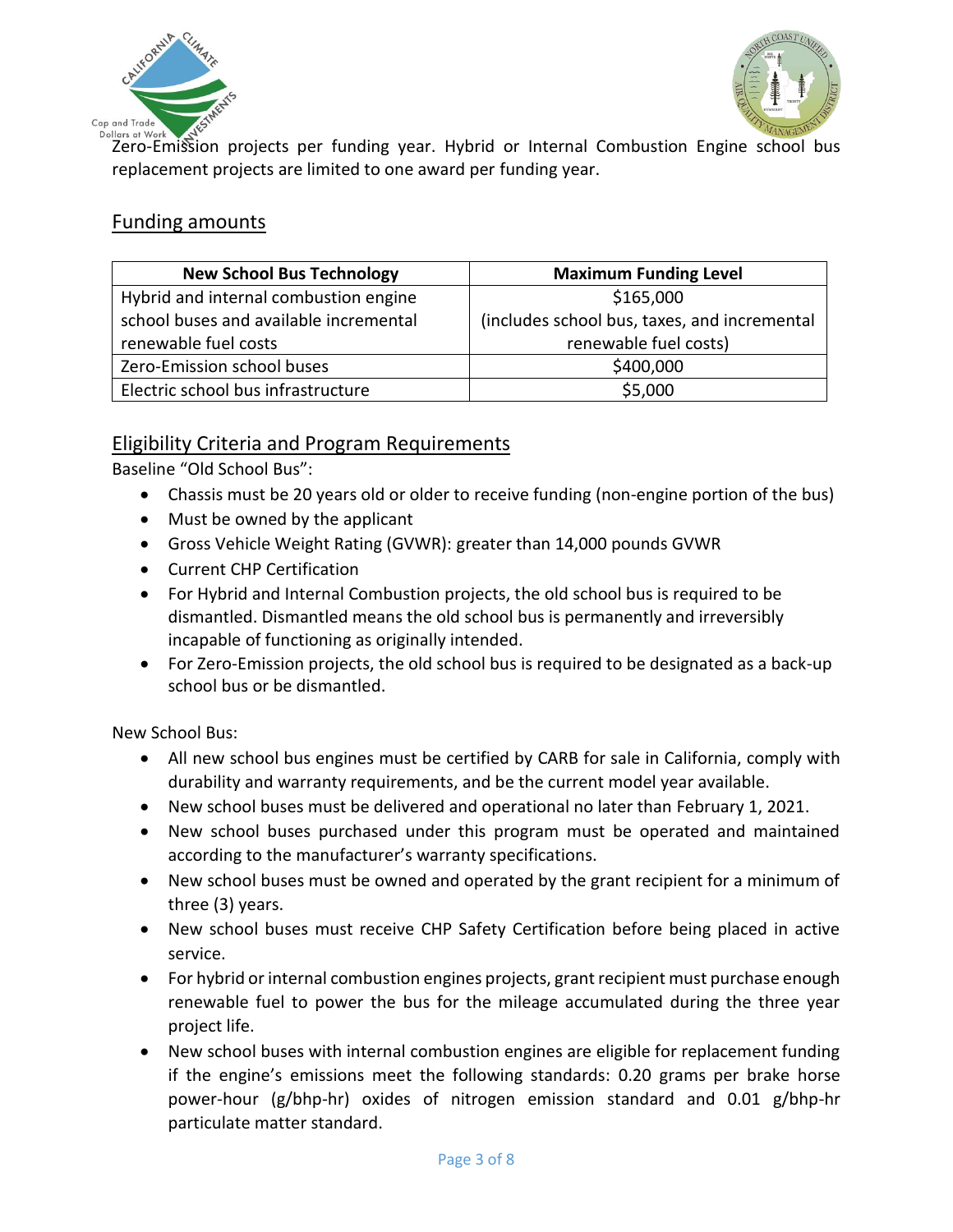



Dollars at Work West SAV Contains the projects per funding year. Hybrid or Internal Combustion Engine school bus replacement projects are limited to one award per funding year.

## Funding amounts

| <b>New School Bus Technology</b>       | <b>Maximum Funding Level</b>                 |
|----------------------------------------|----------------------------------------------|
| Hybrid and internal combustion engine  | \$165,000                                    |
| school buses and available incremental | (includes school bus, taxes, and incremental |
| renewable fuel costs                   | renewable fuel costs)                        |
| Zero-Emission school buses             | \$400,000                                    |
| Electric school bus infrastructure     | \$5,000                                      |

## Eligibility Criteria and Program Requirements

Baseline "Old School Bus":

- Chassis must be 20 years old or older to receive funding (non-engine portion of the bus)
- Must be owned by the applicant
- Gross Vehicle Weight Rating (GVWR): greater than 14,000 pounds GVWR
- Current CHP Certification
- For Hybrid and Internal Combustion projects, the old school bus is required to be dismantled. Dismantled means the old school bus is permanently and irreversibly incapable of functioning as originally intended.
- For Zero-Emission projects, the old school bus is required to be designated as a back-up school bus or be dismantled.

New School Bus:

- All new school bus engines must be certified by CARB for sale in California, comply with durability and warranty requirements, and be the current model year available.
- New school buses must be delivered and operational no later than February 1, 2021.
- New school buses purchased under this program must be operated and maintained according to the manufacturer's warranty specifications.
- New school buses must be owned and operated by the grant recipient for a minimum of three (3) years.
- New school buses must receive CHP Safety Certification before being placed in active service.
- For hybrid or internal combustion engines projects, grant recipient must purchase enough renewable fuel to power the bus for the mileage accumulated during the three year project life.
- New school buses with internal combustion engines are eligible for replacement funding if the engine's emissions meet the following standards: 0.20 grams per brake horse power-hour (g/bhp-hr) oxides of nitrogen emission standard and 0.01 g/bhp-hr particulate matter standard.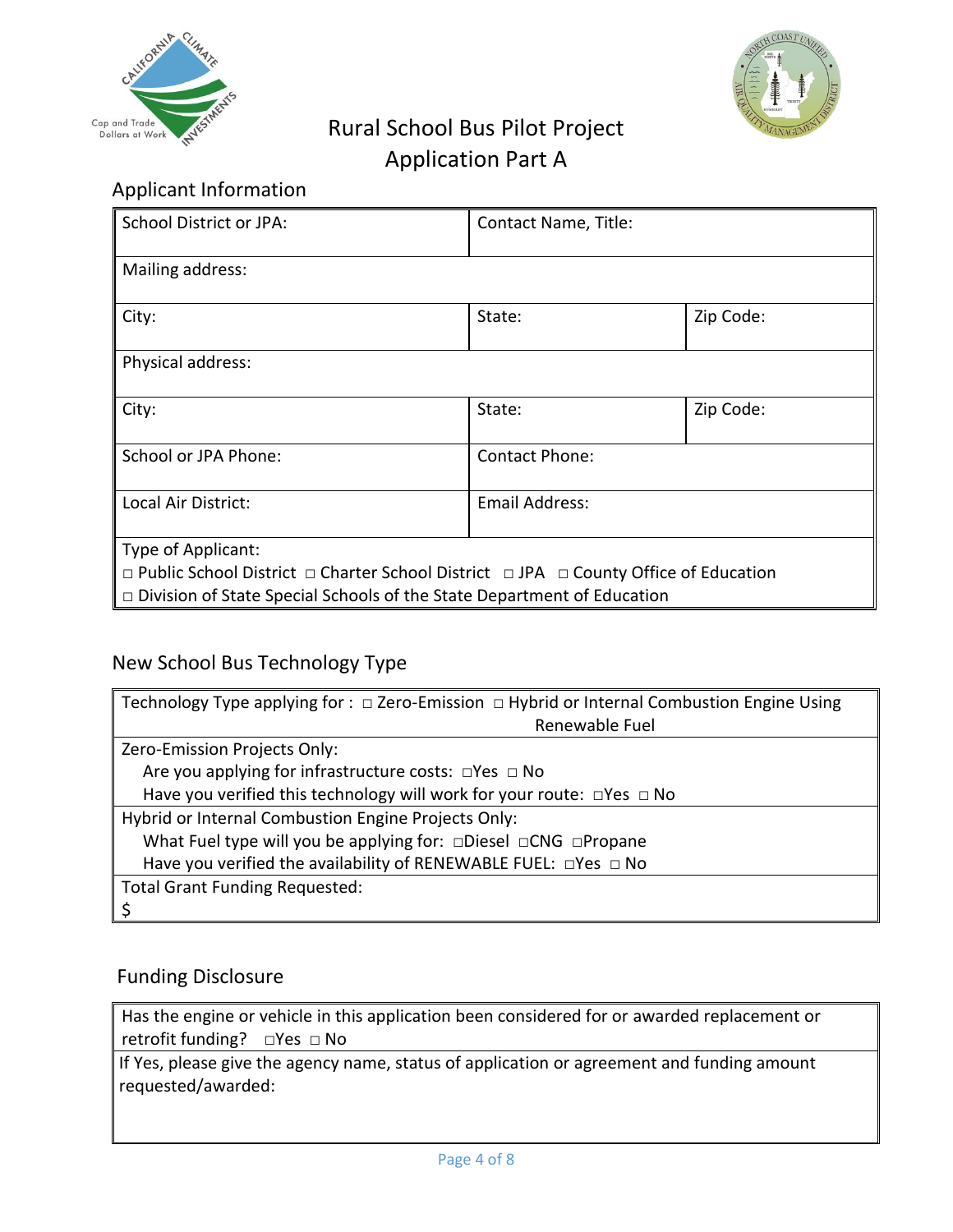



# Rural School Bus Pilot Project Application Part A

# Applicant Information

| School District or JPA:                                                                                                                                                                                          | Contact Name, Title: |           |  |
|------------------------------------------------------------------------------------------------------------------------------------------------------------------------------------------------------------------|----------------------|-----------|--|
| Mailing address:                                                                                                                                                                                                 |                      |           |  |
| City:                                                                                                                                                                                                            | State:               | Zip Code: |  |
| Physical address:                                                                                                                                                                                                |                      |           |  |
| City:                                                                                                                                                                                                            | State:               | Zip Code: |  |
| School or JPA Phone:                                                                                                                                                                                             | Contact Phone:       |           |  |
| Local Air District:                                                                                                                                                                                              | Email Address:       |           |  |
| Type of Applicant:<br>$\Box$ Public School District $\Box$ Charter School District $\Box$ JPA $\Box$ County Office of Education<br>$\Box$ Division of State Special Schools of the State Department of Education |                      |           |  |

# New School Bus Technology Type

| Technology Type applying for : $\Box$ Zero-Emission $\Box$ Hybrid or Internal Combustion Engine Using |  |  |
|-------------------------------------------------------------------------------------------------------|--|--|
| Renewable Fuel                                                                                        |  |  |
| Zero-Emission Projects Only:                                                                          |  |  |
| Are you applying for infrastructure costs: $\Box$ Yes $\Box$ No                                       |  |  |
| Have you verified this technology will work for your route: □Yes □ No                                 |  |  |
| Hybrid or Internal Combustion Engine Projects Only:                                                   |  |  |
| What Fuel type will you be applying for: □Diesel □CNG □Propane                                        |  |  |
| Have you verified the availability of RENEWABLE FUEL: □Yes □ No                                       |  |  |
| <b>Total Grant Funding Requested:</b>                                                                 |  |  |
|                                                                                                       |  |  |

# Funding Disclosure

Has the engine or vehicle in this application been considered for or awarded replacement or retrofit funding? □Yes □ No

If Yes, please give the agency name, status of application or agreement and funding amount requested/awarded: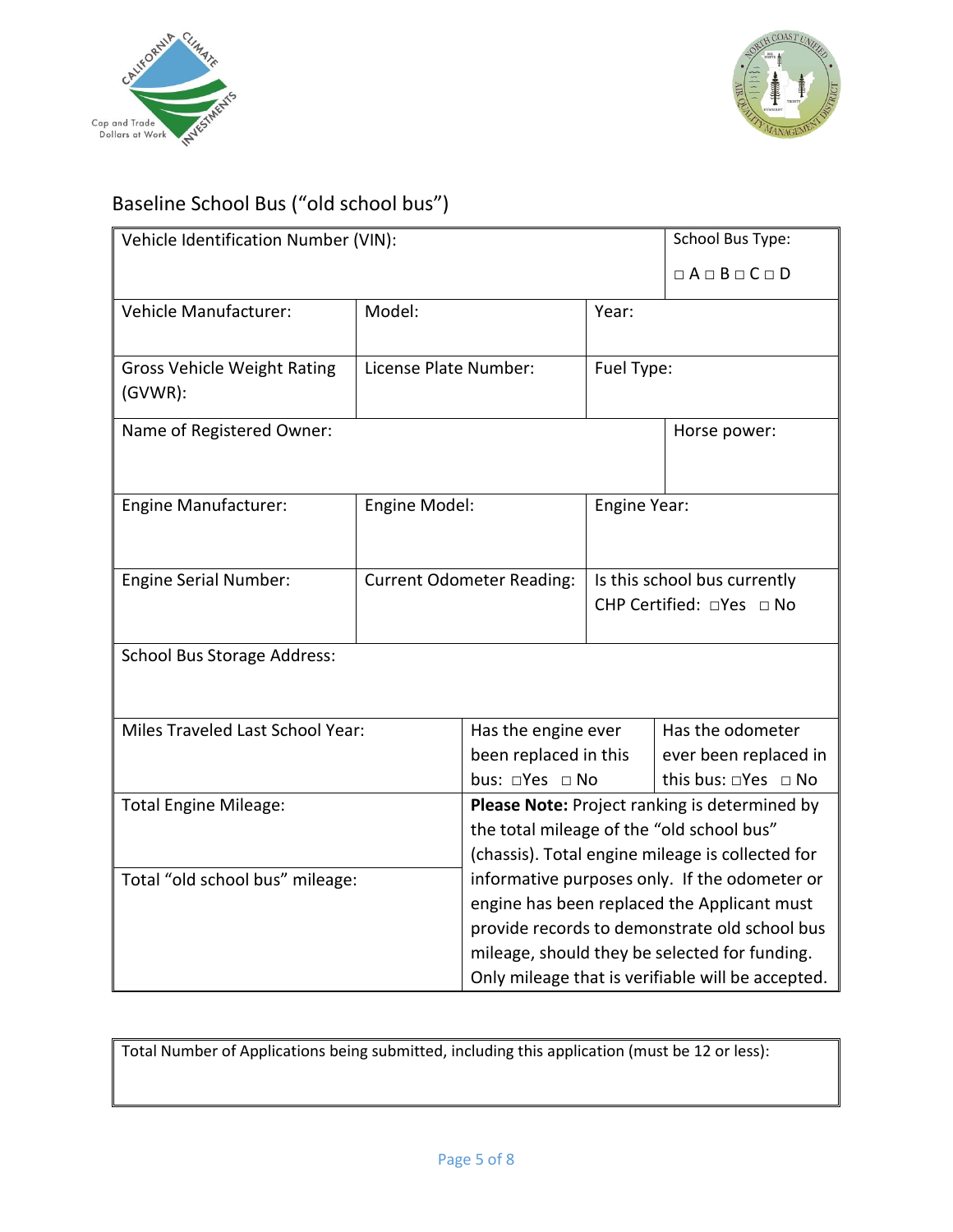



# Baseline School Bus ("old school bus")

| Vehicle Identification Number (VIN): |                                  |                                                                                            | <b>School Bus Type:</b>       |                       |
|--------------------------------------|----------------------------------|--------------------------------------------------------------------------------------------|-------------------------------|-----------------------|
|                                      |                                  |                                                                                            | $\Box A \Box B \Box C \Box D$ |                       |
| <b>Vehicle Manufacturer:</b>         | Model:                           |                                                                                            | Year:                         |                       |
|                                      |                                  |                                                                                            |                               |                       |
| <b>Gross Vehicle Weight Rating</b>   | License Plate Number:            |                                                                                            | Fuel Type:                    |                       |
| $(GVWR)$ :                           |                                  |                                                                                            |                               |                       |
| Name of Registered Owner:            |                                  |                                                                                            |                               | Horse power:          |
|                                      |                                  |                                                                                            |                               |                       |
| <b>Engine Manufacturer:</b>          |                                  |                                                                                            |                               |                       |
|                                      | Engine Model:                    |                                                                                            | Engine Year:                  |                       |
|                                      |                                  |                                                                                            |                               |                       |
| Engine Serial Number:                | <b>Current Odometer Reading:</b> |                                                                                            | Is this school bus currently  |                       |
|                                      |                                  |                                                                                            | CHP Certified: □Yes □ No      |                       |
| <b>School Bus Storage Address:</b>   |                                  |                                                                                            |                               |                       |
|                                      |                                  |                                                                                            |                               |                       |
|                                      |                                  |                                                                                            |                               |                       |
| Miles Traveled Last School Year:     |                                  | Has the engine ever                                                                        |                               | Has the odometer      |
|                                      |                                  | been replaced in this                                                                      |                               | ever been replaced in |
|                                      |                                  | bus: □Yes □ No<br>this bus: □Yes □ No                                                      |                               |                       |
| <b>Total Engine Mileage:</b>         |                                  | Please Note: Project ranking is determined by<br>the total mileage of the "old school bus" |                               |                       |
|                                      |                                  | (chassis). Total engine mileage is collected for                                           |                               |                       |
| Total "old school bus" mileage:      |                                  | informative purposes only. If the odometer or                                              |                               |                       |
|                                      |                                  | engine has been replaced the Applicant must                                                |                               |                       |
|                                      |                                  | provide records to demonstrate old school bus                                              |                               |                       |
|                                      |                                  | mileage, should they be selected for funding.                                              |                               |                       |
|                                      |                                  | Only mileage that is verifiable will be accepted.                                          |                               |                       |

Total Number of Applications being submitted, including this application (must be 12 or less):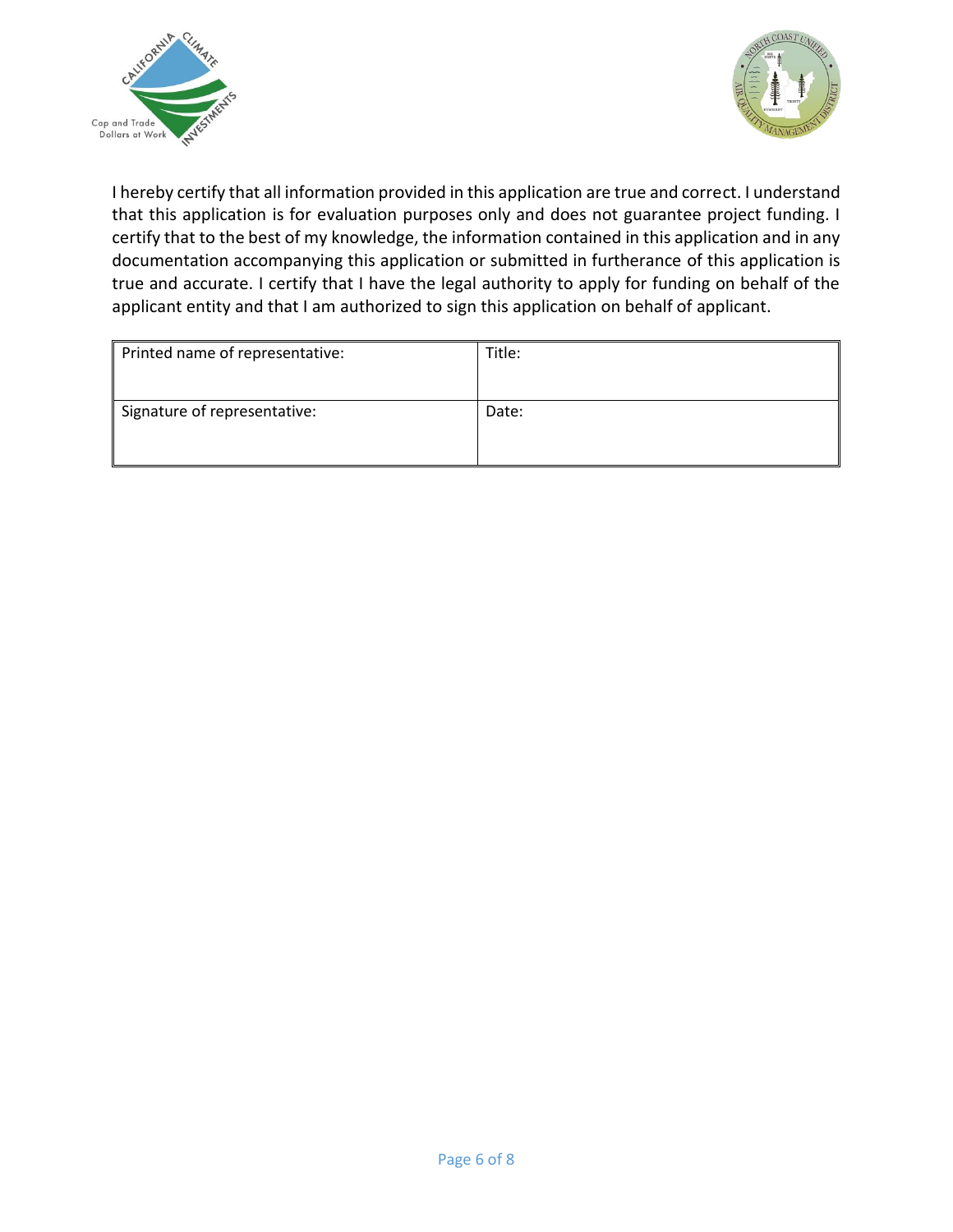



I hereby certify that all information provided in this application are true and correct. I understand that this application is for evaluation purposes only and does not guarantee project funding. I certify that to the best of my knowledge, the information contained in this application and in any documentation accompanying this application or submitted in furtherance of this application is true and accurate. I certify that I have the legal authority to apply for funding on behalf of the applicant entity and that I am authorized to sign this application on behalf of applicant.

| Printed name of representative: | Title: |
|---------------------------------|--------|
| Signature of representative:    | Date:  |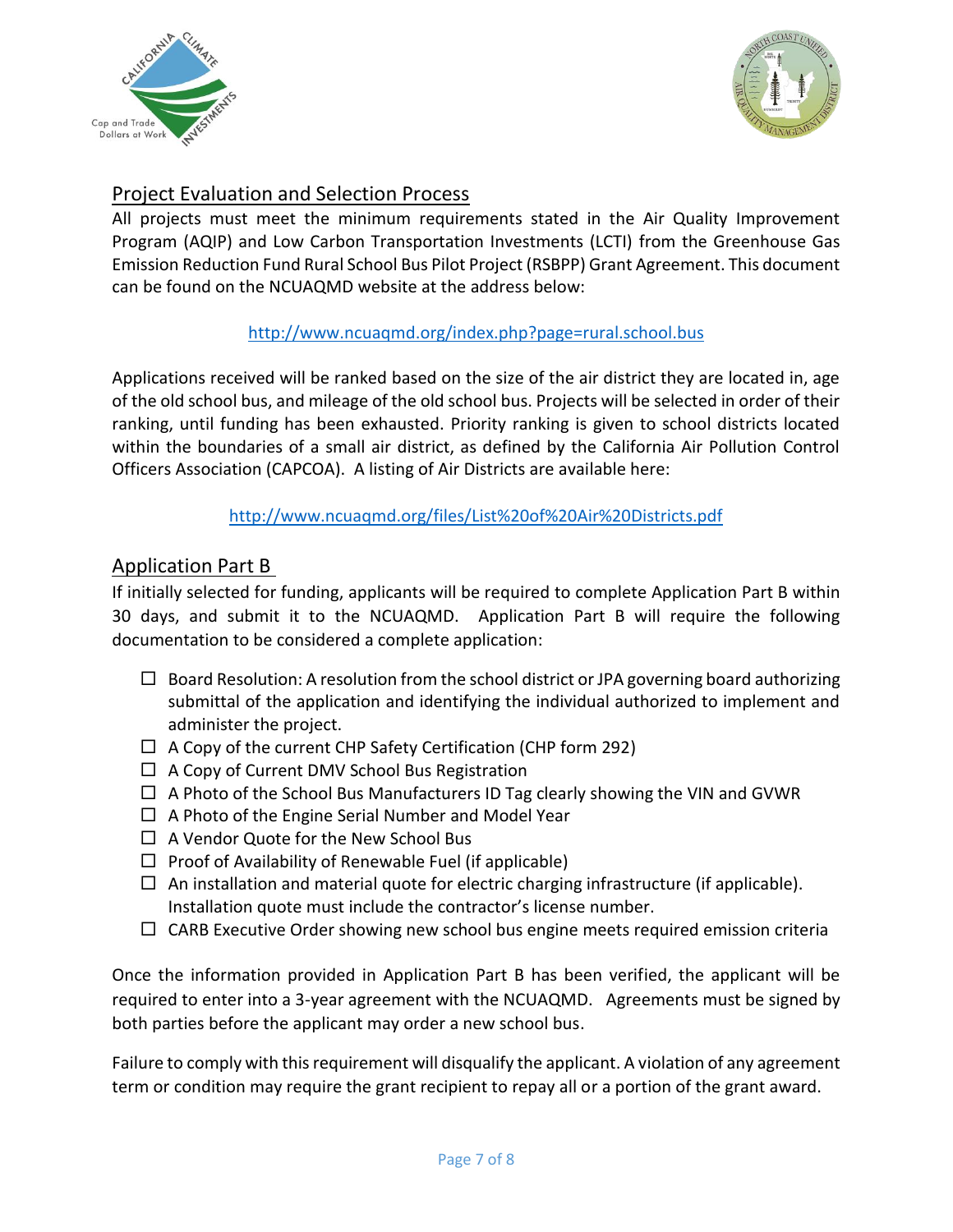



# Project Evaluation and Selection Process

All projects must meet the minimum requirements stated in the Air Quality Improvement Program (AQIP) and Low Carbon Transportation Investments (LCTI) from the Greenhouse Gas Emission Reduction Fund Rural School Bus Pilot Project (RSBPP) Grant Agreement. This document can be found on the NCUAQMD website at the address below:

## <http://www.ncuaqmd.org/index.php?page=rural.school.bus>

Applications received will be ranked based on the size of the air district they are located in, age of the old school bus, and mileage of the old school bus. Projects will be selected in order of their ranking, until funding has been exhausted. Priority ranking is given to school districts located within the boundaries of a small air district, as defined by the California Air Pollution Control Officers Association (CAPCOA). A listing of Air Districts are available here:

### <http://www.ncuaqmd.org/files/List%20of%20Air%20Districts.pdf>

## Application Part B

If initially selected for funding, applicants will be required to complete Application Part B within 30 days, and submit it to the NCUAQMD. Application Part B will require the following documentation to be considered a complete application:

- $\Box$  Board Resolution: A resolution from the school district or JPA governing board authorizing submittal of the application and identifying the individual authorized to implement and administer the project.
- $\Box$  A Copy of the current CHP Safety Certification (CHP form 292)
- $\Box$  A Copy of Current DMV School Bus Registration
- $\Box$  A Photo of the School Bus Manufacturers ID Tag clearly showing the VIN and GVWR
- $\Box$  A Photo of the Engine Serial Number and Model Year
- $\Box$  A Vendor Quote for the New School Bus
- $\Box$  Proof of Availability of Renewable Fuel (if applicable)
- $\Box$  An installation and material quote for electric charging infrastructure (if applicable). Installation quote must include the contractor's license number.
- $\Box$  CARB Executive Order showing new school bus engine meets required emission criteria

Once the information provided in Application Part B has been verified, the applicant will be required to enter into a 3-year agreement with the NCUAQMD. Agreements must be signed by both parties before the applicant may order a new school bus.

Failure to comply with this requirement will disqualify the applicant. A violation of any agreement term or condition may require the grant recipient to repay all or a portion of the grant award.